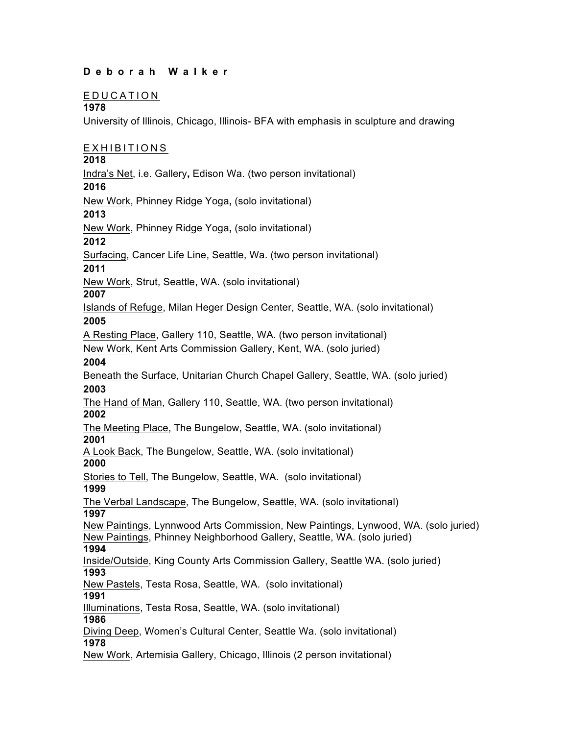### **Deborah Walker**

#### EDUCATION

#### **1978**

University of Illinois, Chicago, Illinois- BFA with emphasis in sculpture and drawing

### EXHIBITIONS

#### **2018**

Indra's Net, i.e. Gallery**,** Edison Wa. (two person invitational)

#### **2016**

New Work, Phinney Ridge Yoga**,** (solo invitational)

#### **2013**

New Work, Phinney Ridge Yoga**,** (solo invitational)

#### **2012**

Surfacing, Cancer Life Line, Seattle, Wa. (two person invitational)

#### **2011**

New Work, Strut, Seattle, WA. (solo invitational)

#### **2007**

Islands of Refuge, Milan Heger Design Center, Seattle, WA. (solo invitational) **2005**

A Resting Place, Gallery 110, Seattle, WA. (two person invitational)

New Work, Kent Arts Commission Gallery, Kent, WA. (solo juried)

#### **2004**

Beneath the Surface, Unitarian Church Chapel Gallery, Seattle, WA. (solo juried) **2003**

The Hand of Man, Gallery 110, Seattle, WA. (two person invitational) **2002**

The Meeting Place, The Bungelow, Seattle, WA. (solo invitational) **2001**

A Look Back, The Bungelow, Seattle, WA. (solo invitational) **2000**

Stories to Tell, The Bungelow, Seattle, WA. (solo invitational) **1999**

The Verbal Landscape, The Bungelow, Seattle, WA. (solo invitational)

## **1997**

New Paintings, Lynnwood Arts Commission, New Paintings, Lynwood, WA. (solo juried) New Paintings, Phinney Neighborhood Gallery, Seattle, WA. (solo juried) **1994**

# Inside/Outside, King County Arts Commission Gallery, Seattle WA. (solo juried)

**1993**

New Pastels, Testa Rosa, Seattle, WA. (solo invitational)

## **1991**

Illuminations, Testa Rosa, Seattle, WA. (solo invitational)

### **1986**

Diving Deep, Women's Cultural Center, Seattle Wa. (solo invitational) **1978**

New Work, Artemisia Gallery, Chicago, Illinois (2 person invitational)